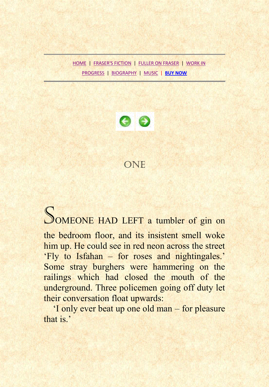[HOME](../index.htm) | [FRASER'S FICTION](http://www.johnfraserfiction.com/fraser_fiction.htm) | [FULLER ON FRASER](http://www.johnfuller-poet.com/johnfraser.htm) | [WORK IN](http://www.johnfraserfiction.com/wip.htm)  [PROGRESS](http://www.johnfraserfiction.com/wip.htm) | [BIOGRAPHY](http://www.johnfraserfiction.com/biog.htm) | [MUSIC](http://www.johnfraserfiction.com/concerts.htm) | **[BUY NOW](http://www.aesopbooks.com/modern.htm#observatory)**



## ONE

## SOMEONE HAD LEFT a tumbler of gin on

the bedroom floor, and its insistent smell woke him up. He could see in red neon across the street 'Fly to Isfahan – for roses and nightingales.' Some stray burghers were hammering on the railings which had closed the mouth of the underground. Three policemen going off duty let their conversation float upwards:

'I only ever beat up one old man – for pleasure that is.'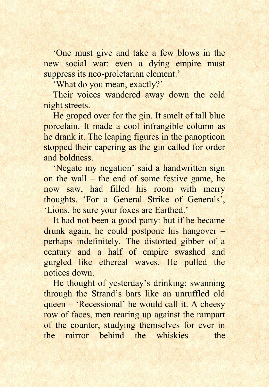'One must give and take a few blows in the new social war: even a dying empire must suppress its neo-proletarian element.'

'What do you mean, exactly?'

Their voices wandered away down the cold night streets.

He groped over for the gin. It smelt of tall blue porcelain. It made a cool infrangible column as he drank it. The leaping figures in the panopticon stopped their capering as the gin called for order and boldness.

'Negate my negation' said a handwritten sign on the wall – the end of some festive game, he now saw, had filled his room with merry thoughts. 'For a General Strike of Generals', 'Lions, be sure your foxes are Earthed.'

It had not been a good party: but if he became drunk again, he could postpone his hangover – perhaps indefinitely. The distorted gibber of a century and a half of empire swashed and gurgled like ethereal waves. He pulled the notices down.

He thought of yesterday's drinking: swanning through the Strand's bars like an unruffled old queen – 'Recessional' he would call it. A cheesy row of faces, men rearing up against the rampart of the counter, studying themselves for ever in the mirror behind the whiskies – the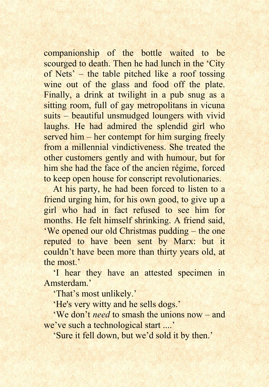companionship of the bottle waited to be scourged to death. Then he had lunch in the 'City' of Nets' – the table pitched like a roof tossing wine out of the glass and food off the plate. Finally, a drink at twilight in a pub snug as a sitting room, full of gay metropolitans in vicuna suits – beautiful unsmudged loungers with vivid laughs. He had admired the splendid girl who served him – her contempt for him surging freely from a millennial vindictiveness. She treated the other customers gently and with humour, but for him she had the face of the ancien régime, forced to keep open house for conscript revolutionaries.

At his party, he had been forced to listen to a friend urging him, for his own good, to give up a girl who had in fact refused to see him for months. He felt himself shrinking. A friend said, 'We opened our old Christmas pudding – the one reputed to have been sent by Marx: but it couldn't have been more than thirty years old, at the most<sup>,</sup>

'I hear they have an attested specimen in Amsterdam.'

'That's most unlikely.'

'He's very witty and he sells dogs.'

'We don't *need* to smash the unions now – and we've such a technological start ....'

'Sure it fell down, but we'd sold it by then.'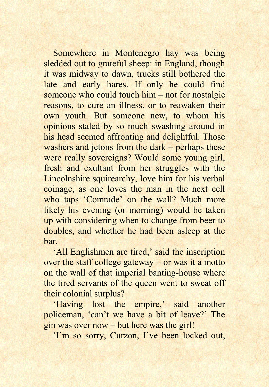Somewhere in Montenegro hay was being sledded out to grateful sheep: in England, though it was midway to dawn, trucks still bothered the late and early hares. If only he could find someone who could touch him – not for nostalgic reasons, to cure an illness, or to reawaken their own youth. But someone new, to whom his opinions staled by so much swashing around in his head seemed affronting and delightful. Those washers and jetons from the dark – perhaps these were really sovereigns? Would some young girl, fresh and exultant from her struggles with the Lincolnshire squirearchy, love him for his verbal coinage, as one loves the man in the next cell who taps 'Comrade' on the wall? Much more likely his evening (or morning) would be taken up with considering when to change from beer to doubles, and whether he had been asleep at the bar.

'All Englishmen are tired,' said the inscription over the staff college gateway – or was it a motto on the wall of that imperial banting-house where the tired servants of the queen went to sweat off their colonial surplus?

'Having lost the empire,' said another policeman, 'can't we have a bit of leave?' The gin was over now – but here was the girl!

'I'm so sorry, Curzon, I've been locked out,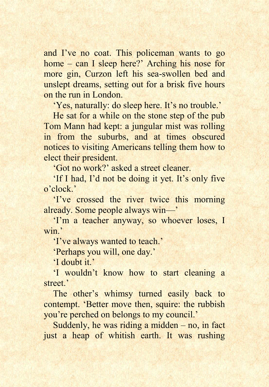and I've no coat. This policeman wants to go home – can I sleep here?' Arching his nose for more gin, Curzon left his sea-swollen bed and unslept dreams, setting out for a brisk five hours on the run in London.

'Yes, naturally: do sleep here. It's no trouble.'

He sat for a while on the stone step of the pub Tom Mann had kept: a jungular mist was rolling in from the suburbs, and at times obscured notices to visiting Americans telling them how to elect their president.

'Got no work?' asked a street cleaner.

'If I had, I'd not be doing it yet. It's only five o'clock.'

'I've crossed the river twice this morning already. Some people always win—'

'I'm a teacher anyway, so whoever loses, I win.'

'I've always wanted to teach.'

'Perhaps you will, one day.'

'I doubt it.'

'I wouldn't know how to start cleaning a street.'

The other's whimsy turned easily back to contempt. 'Better move then, squire: the rubbish you're perched on belongs to my council.'

Suddenly, he was riding a midden – no, in fact just a heap of whitish earth. It was rushing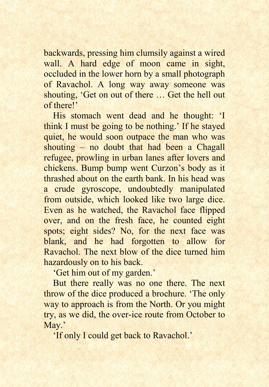backwards, pressing him clumsily against a wired wall. A hard edge of moon came in sight, occluded in the lower horn by a small photograph of Ravachol. A long way away someone was shouting, 'Get on out of there … Get the hell out of there!'

His stomach went dead and he thought: 'I think I must be going to be nothing.' If he stayed quiet, he would soon outpace the man who was shouting – no doubt that had been a Chagall refugee, prowling in urban lanes after lovers and chickens. Bump bump went Curzon's body as it thrashed about on the earth bank. In his head was a crude gyroscope, undoubtedly manipulated from outside, which looked like two large dice. Even as he watched, the Ravachol face flipped over, and on the fresh face, he counted eight spots; eight sides? No, for the next face was blank, and he had forgotten to allow for Ravachol. The next blow of the dice turned him hazardously on to his back.

'Get him out of my garden.'

But there really was no one there. The next throw of the dice produced a brochure. 'The only way to approach is from the North. Or you might try, as we did, the over-ice route from October to May.'

'If only I could get back to Ravachol.'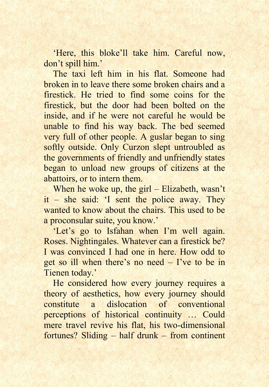'Here, this bloke'll take him. Careful now, don't spill him.'

The taxi left him in his flat. Someone had broken in to leave there some broken chairs and a firestick. He tried to find some coins for the firestick, but the door had been bolted on the inside, and if he were not careful he would be unable to find his way back. The bed seemed very full of other people. A guslar began to sing softly outside. Only Curzon slept untroubled as the governments of friendly and unfriendly states began to unload new groups of citizens at the abattoirs, or to intern them.

When he woke up, the girl – Elizabeth, wasn't it – she said: 'I sent the police away. They wanted to know about the chairs. This used to be a proconsular suite, you know.'

'Let's go to Isfahan when I'm well again. Roses. Nightingales. Whatever can a firestick be? I was convinced I had one in here. How odd to get so ill when there's no need – I've to be in Tienen today.'

He considered how every journey requires a theory of aesthetics, how every journey should constitute a dislocation of conventional perceptions of historical continuity … Could mere travel revive his flat, his two-dimensional fortunes? Sliding – half drunk – from continent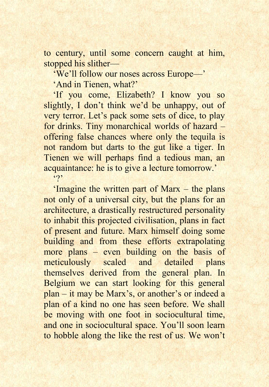to century, until some concern caught at him, stopped his slither—

'We'll follow our noses across Europe—'

'And in Tienen, what?'

'If you come, Elizabeth? I know you so slightly, I don't think we'd be unhappy, out of very terror. Let's pack some sets of dice, to play for drinks. Tiny monarchical worlds of hazard – offering false chances where only the tequila is not random but darts to the gut like a tiger. In Tienen we will perhaps find a tedious man, an acquaintance: he is to give a lecture tomorrow.'  $.9'$ 

'Imagine the written part of Marx – the plans not only of a universal city, but the plans for an architecture, a drastically restructured personality to inhabit this projected civilisation, plans in fact of present and future. Marx himself doing some building and from these efforts extrapolating more plans – even building on the basis of meticulously scaled and detailed plans themselves derived from the general plan. In Belgium we can start looking for this general plan – it may be Marx's, or another's or indeed a plan of a kind no one has seen before. We shall be moving with one foot in sociocultural time, and one in sociocultural space. You'll soon learn to hobble along the like the rest of us. We won't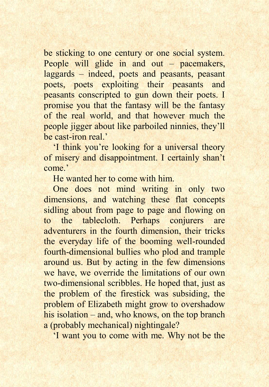be sticking to one century or one social system. People will glide in and out – pacemakers, laggards – indeed, poets and peasants, peasant poets, poets exploiting their peasants and peasants conscripted to gun down their poets. I promise you that the fantasy will be the fantasy of the real world, and that however much the people jigger about like parboiled ninnies, they'll be cast-iron real.'

'I think you're looking for a universal theory of misery and disappointment. I certainly shan't come.'

He wanted her to come with him.

One does not mind writing in only two dimensions, and watching these flat concepts sidling about from page to page and flowing on to the tablecloth. Perhaps conjurers are adventurers in the fourth dimension, their tricks the everyday life of the booming well-rounded fourth-dimensional bullies who plod and trample around us. But by acting in the few dimensions we have, we override the limitations of our own two-dimensional scribbles. He hoped that, just as the problem of the firestick was subsiding, the problem of Elizabeth might grow to overshadow his isolation – and, who knows, on the top branch a (probably mechanical) nightingale?

'I want you to come with me. Why not be the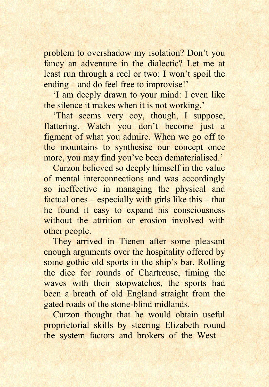problem to overshadow my isolation? Don't you fancy an adventure in the dialectic? Let me at least run through a reel or two: I won't spoil the ending – and do feel free to improvise!'

'I am deeply drawn to your mind: I even like the silence it makes when it is not working.'

'That seems very coy, though, I suppose, flattering. Watch you don't become just a figment of what you admire. When we go off to the mountains to synthesise our concept once more, you may find you've been dematerialised.'

Curzon believed so deeply himself in the value of mental interconnections and was accordingly so ineffective in managing the physical and factual ones – especially with girls like this – that he found it easy to expand his consciousness without the attrition or erosion involved with other people.

They arrived in Tienen after some pleasant enough arguments over the hospitality offered by some gothic old sports in the ship's bar. Rolling the dice for rounds of Chartreuse, timing the waves with their stopwatches, the sports had been a breath of old England straight from the gated roads of the stone-blind midlands.

Curzon thought that he would obtain useful proprietorial skills by steering Elizabeth round the system factors and brokers of the West –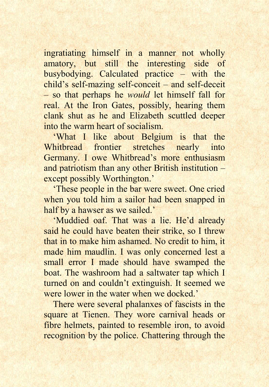ingratiating himself in a manner not wholly amatory, but still the interesting side of busybodying. Calculated practice – with the child's self-mazing self-conceit – and self-deceit – so that perhaps he *would* let himself fall for real. At the Iron Gates, possibly, hearing them clank shut as he and Elizabeth scuttled deeper into the warm heart of socialism.

'What I like about Belgium is that the Whitbread frontier stretches nearly into Germany. I owe Whitbread's more enthusiasm and patriotism than any other British institution – except possibly Worthington.'

'These people in the bar were sweet. One cried when you told him a sailor had been snapped in half by a hawser as we sailed.'

'Muddied oaf. That was a lie. He'd already said he could have beaten their strike, so I threw that in to make him ashamed. No credit to him, it made him maudlin. I was only concerned lest a small error I made should have swamped the boat. The washroom had a saltwater tap which I turned on and couldn't extinguish. It seemed we were lower in the water when we docked.

There were several phalanxes of fascists in the square at Tienen. They wore carnival heads or fibre helmets, painted to resemble iron, to avoid recognition by the police. Chattering through the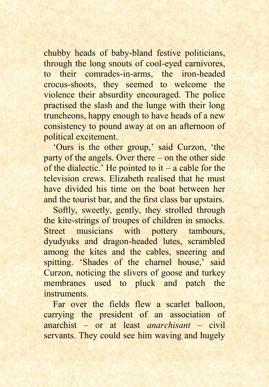chubby heads of baby-bland festive politicians, through the long snouts of cool-eyed carnivores, to their comrades-in-arms, the iron-headed crocus-shoots, they seemed to welcome the violence their absurdity encouraged. The police practised the slash and the lunge with their long truncheons, happy enough to have heads of a new consistency to pound away at on an afternoon of political excitement.

'Ours is the other group,' said Curzon, 'the party of the angels. Over there – on the other side of the dialectic.' He pointed to it – a cable for the television crews. Elizabeth realised that he must have divided his time on the boat between her and the tourist bar, and the first class bar upstairs.

Softly, sweetly, gently, they strolled through the kite-strings of troupes of children in smocks. Street musicians with pottery tambours, dyudyuks and dragon-headed lutes, scrambled among the kites and the cables, sneering and spitting. 'Shades of the charnel house,' said Curzon, noticing the slivers of goose and turkey membranes used to pluck and patch the **instruments** 

Far over the fields flew a scarlet balloon. carrying the president of an association of anarchist – or at least *anarchisant* – civil servants. They could see him waving and hugely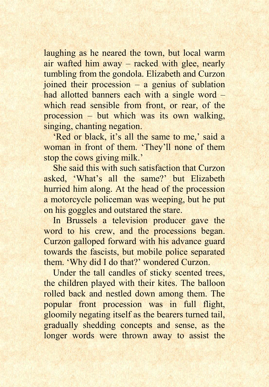laughing as he neared the town, but local warm air wafted him away – racked with glee, nearly tumbling from the gondola. Elizabeth and Curzon joined their procession – a genius of sublation had allotted banners each with a single word – which read sensible from front, or rear, of the procession – but which was its own walking, singing, chanting negation.

'Red or black, it's all the same to me,' said a woman in front of them. 'They'll none of them stop the cows giving milk.'

She said this with such satisfaction that Curzon asked, 'What's all the same?' but Elizabeth hurried him along. At the head of the procession a motorcycle policeman was weeping, but he put on his goggles and outstared the stare.

In Brussels a television producer gave the word to his crew, and the processions began. Curzon galloped forward with his advance guard towards the fascists, but mobile police separated them. 'Why did I do that?' wondered Curzon.

Under the tall candles of sticky scented trees, the children played with their kites. The balloon rolled back and nestled down among them. The popular front procession was in full flight, gloomily negating itself as the bearers turned tail, gradually shedding concepts and sense, as the longer words were thrown away to assist the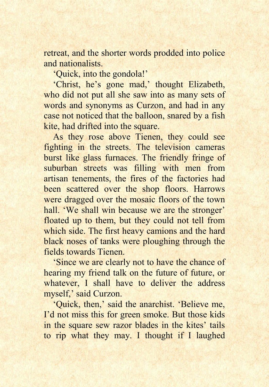retreat, and the shorter words prodded into police and nationalists.

'Quick, into the gondola!'

'Christ, he's gone mad,' thought Elizabeth, who did not put all she saw into as many sets of words and synonyms as Curzon, and had in any case not noticed that the balloon, snared by a fish kite, had drifted into the square.

As they rose above Tienen, they could see fighting in the streets. The television cameras burst like glass furnaces. The friendly fringe of suburban streets was filling with men from artisan tenements, the fires of the factories had been scattered over the shop floors. Harrows were dragged over the mosaic floors of the town hall. 'We shall win because we are the stronger' floated up to them, but they could not tell from which side. The first heavy camions and the hard black noses of tanks were ploughing through the fields towards Tienen.

'Since we are clearly not to have the chance of hearing my friend talk on the future of future, or whatever, I shall have to deliver the address myself,' said Curzon.

'Quick, then,' said the anarchist. 'Believe me, I'd not miss this for green smoke. But those kids in the square sew razor blades in the kites' tails to rip what they may. I thought if I laughed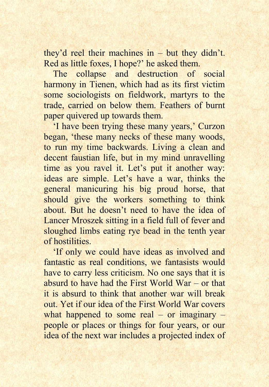they'd reel their machines in – but they didn't. Red as little foxes, I hope?' he asked them.

The collapse and destruction of social harmony in Tienen, which had as its first victim some sociologists on fieldwork, martyrs to the trade, carried on below them. Feathers of burnt paper quivered up towards them.

'I have been trying these many years,' Curzon began, 'these many necks of these many woods, to run my time backwards. Living a clean and decent faustian life, but in my mind unravelling time as you ravel it. Let's put it another way: ideas are simple. Let's have a war, thinks the general manicuring his big proud horse, that should give the workers something to think about. But he doesn't need to have the idea of Lancer Mroszek sitting in a field full of fever and sloughed limbs eating rye bead in the tenth year of hostilities.

'If only we could have ideas as involved and fantastic as real conditions, we fantasists would have to carry less criticism. No one says that it is absurd to have had the First World War – or that it is absurd to think that another war will break out. Yet if our idea of the First World War covers what happened to some real – or imaginary – people or places or things for four years, or our idea of the next war includes a projected index of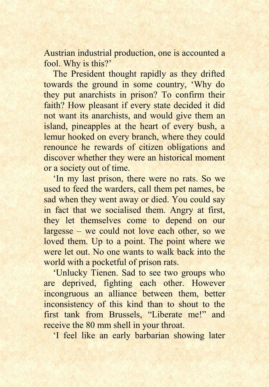Austrian industrial production, one is accounted a fool. Why is this?'

The President thought rapidly as they drifted towards the ground in some country, 'Why do they put anarchists in prison? To confirm their faith? How pleasant if every state decided it did not want its anarchists, and would give them an island, pineapples at the heart of every bush, a lemur hooked on every branch, where they could renounce he rewards of citizen obligations and discover whether they were an historical moment or a society out of time.

'In my last prison, there were no rats. So we used to feed the warders, call them pet names, be sad when they went away or died. You could say in fact that we socialised them. Angry at first, they let themselves come to depend on our largesse – we could not love each other, so we loved them. Up to a point. The point where we were let out. No one wants to walk back into the world with a pocketful of prison rats.

'Unlucky Tienen. Sad to see two groups who are deprived, fighting each other. However incongruous an alliance between them, better inconsistency of this kind than to shout to the first tank from Brussels, "Liberate me!" and receive the 80 mm shell in your throat.

'I feel like an early barbarian showing later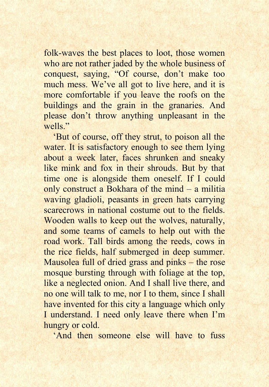folk-waves the best places to loot, those women who are not rather jaded by the whole business of conquest, saying, "Of course, don't make too much mess. We've all got to live here, and it is more comfortable if you leave the roofs on the buildings and the grain in the granaries. And please don't throw anything unpleasant in the wells."

'But of course, off they strut, to poison all the water. It is satisfactory enough to see them lying about a week later, faces shrunken and sneaky like mink and fox in their shrouds. But by that time one is alongside them oneself. If I could only construct a Bokhara of the mind – a militia waving gladioli, peasants in green hats carrying scarecrows in national costume out to the fields. Wooden walls to keep out the wolves, naturally, and some teams of camels to help out with the road work. Tall birds among the reeds, cows in the rice fields, half submerged in deep summer. Mausolea full of dried grass and pinks – the rose mosque bursting through with foliage at the top, like a neglected onion. And I shall live there, and no one will talk to me, nor I to them, since I shall have invented for this city a language which only I understand. I need only leave there when I'm hungry or cold.

'And then someone else will have to fuss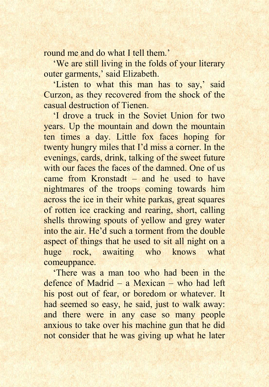round me and do what I tell them.'

'We are still living in the folds of your literary outer garments,' said Elizabeth.

'Listen to what this man has to say,' said Curzon, as they recovered from the shock of the casual destruction of Tienen.

'I drove a truck in the Soviet Union for two years. Up the mountain and down the mountain ten times a day. Little fox faces hoping for twenty hungry miles that I'd miss a corner. In the evenings, cards, drink, talking of the sweet future with our faces the faces of the damned. One of us came from Kronstadt – and he used to have nightmares of the troops coming towards him across the ice in their white parkas, great squares of rotten ice cracking and rearing, short, calling shells throwing spouts of yellow and grey water into the air. He'd such a torment from the double aspect of things that he used to sit all night on a huge rock, awaiting who knows what comeuppance.

'There was a man too who had been in the defence of Madrid – a Mexican – who had left his post out of fear, or boredom or whatever. It had seemed so easy, he said, just to walk away: and there were in any case so many people anxious to take over his machine gun that he did not consider that he was giving up what he later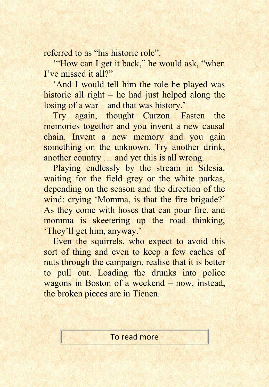referred to as "his historic role".

'"How can I get it back," he would ask, "when I've missed it all?"

'And I would tell him the role he played was historic all right – he had just helped along the losing of a war – and that was history.'

Try again, thought Curzon. Fasten the memories together and you invent a new causal chain. Invent a new memory and you gain something on the unknown. Try another drink, another country … and yet this is all wrong.

Playing endlessly by the stream in Silesia, waiting for the field grey or the white parkas, depending on the season and the direction of the wind: crying 'Momma, is that the fire brigade?' As they come with hoses that can pour fire, and momma is skeetering up the road thinking, 'They'll get him, anyway.'

Even the squirrels, who expect to avoid this sort of thing and even to keep a few caches of nuts through the campaign, realise that it is better to pull out. Loading the drunks into police wagons in Boston of a weekend – now, instead, the broken pieces are in Tienen.

To read more